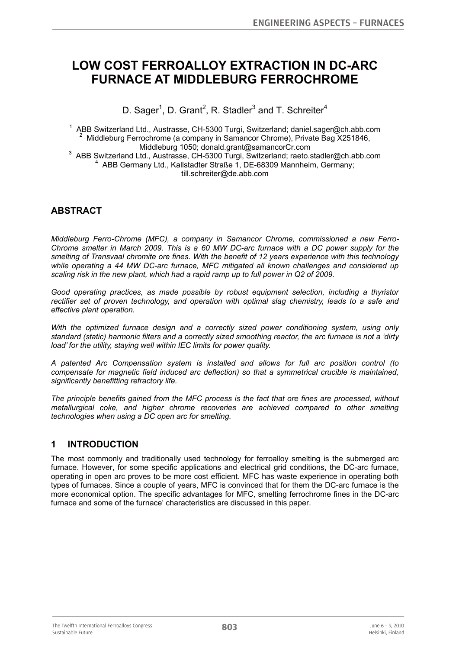# **LOW COST FERROALLOY EXTRACTION IN DC-ARC FURNACE AT MIDDLEBURG FERROCHROME**

D. Sager<sup>1</sup>, D. Grant<sup>2</sup>, R. Stadler<sup>3</sup> and T. Schreiter<sup>4</sup>

<sup>1</sup> ABB Switzerland Ltd., Austrasse, CH-5300 Turgi, Switzerland; daniel.sager@ch.abb.com Middleburg Ferrochrome (a company in Samancor Chrome), Private Bag X251846,<br>Middleburg 1050; donald.grant@samancorCr.com Middleburg 1050; donald.grant@samancorCr.com<br>3 APP Switzerland Ltd., Austrasse, CH 5300 Turgi, Switzerland: racto s

ABB Switzerland Ltd., Austrasse, CH-5300 Turgi, Switzerland; raeto.stadler@ch.abb.com 4 ABB Cormany Ltd. Kollatedter Straße 1, DE 68300 Mappheim Cormany: ABB Germany Ltd., Kallstadter Straße 1, DE-68309 Mannheim, Germany; till.schreiter@de.abb.com

## **ABSTRACT**

*Middleburg Ferro-Chrome (MFC), a company in Samancor Chrome, commissioned a new Ferro-Chrome smelter in March 2009. This is a 60 MW DC-arc furnace with a DC power supply for the smelting of Transvaal chromite ore fines. With the benefit of 12 years experience with this technology while operating a 44 MW DC-arc furnace, MFC mitigated all known challenges and considered up scaling risk in the new plant, which had a rapid ramp up to full power in Q2 of 2009.* 

*Good operating practices, as made possible by robust equipment selection, including a thyristor rectifier set of proven technology, and operation with optimal slag chemistry, leads to a safe and effective plant operation.* 

*With the optimized furnace design and a correctly sized power conditioning system, using only standard (static) harmonic filters and a correctly sized smoothing reactor, the arc furnace is not a 'dirty load' for the utility, staying well within IEC limits for power quality.* 

*A patented Arc Compensation system is installed and allows for full arc position control (to compensate for magnetic field induced arc deflection) so that a symmetrical crucible is maintained, significantly benefitting refractory life.* 

*The principle benefits gained from the MFC process is the fact that ore fines are processed, without metallurgical coke, and higher chrome recoveries are achieved compared to other smelting technologies when using a DC open arc for smelting.* 

## **1 INTRODUCTION**

The most commonly and traditionally used technology for ferroalloy smelting is the submerged arc furnace. However, for some specific applications and electrical grid conditions, the DC-arc furnace, operating in open arc proves to be more cost efficient. MFC has waste experience in operating both types of furnaces. Since a couple of years, MFC is convinced that for them the DC-arc furnace is the more economical option. The specific advantages for MFC, smelting ferrochrome fines in the DC-arc furnace and some of the furnace' characteristics are discussed in this paper.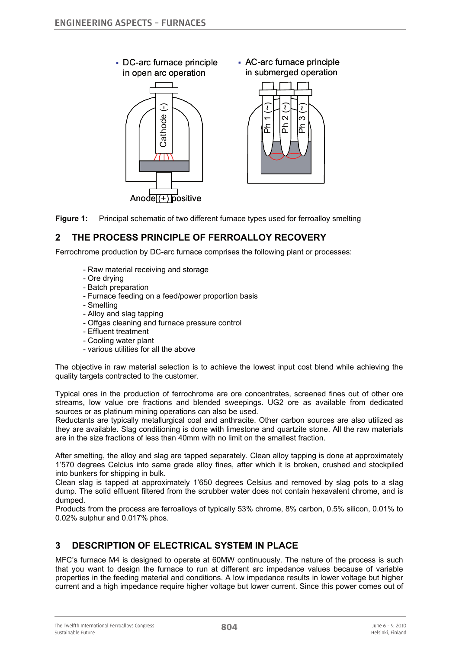

**Figure 1:** Principal schematic of two different furnace types used for ferroalloy smelting

## **2 THE PROCESS PRINCIPLE OF FERROALLOY RECOVERY**

Ferrochrome production by DC-arc furnace comprises the following plant or processes:

- Raw material receiving and storage
- Ore drying
- Batch preparation
- Furnace feeding on a feed/power proportion basis
- Smelting
- Alloy and slag tapping
- Offgas cleaning and furnace pressure control
- Effluent treatment
- Cooling water plant
- various utilities for all the above

The objective in raw material selection is to achieve the lowest input cost blend while achieving the quality targets contracted to the customer.

Typical ores in the production of ferrochrome are ore concentrates, screened fines out of other ore streams, low value ore fractions and blended sweepings. UG2 ore as available from dedicated sources or as platinum mining operations can also be used.

Reductants are typically metallurgical coal and anthracite. Other carbon sources are also utilized as they are available. Slag conditioning is done with limestone and quartzite stone. All the raw materials are in the size fractions of less than 40mm with no limit on the smallest fraction.

After smelting, the alloy and slag are tapped separately. Clean alloy tapping is done at approximately 1'570 degrees Celcius into same grade alloy fines, after which it is broken, crushed and stockpiled into bunkers for shipping in bulk.

Clean slag is tapped at approximately 1'650 degrees Celsius and removed by slag pots to a slag dump. The solid effluent filtered from the scrubber water does not contain hexavalent chrome, and is dumped.

Products from the process are ferroalloys of typically 53% chrome, 8% carbon, 0.5% silicon, 0.01% to 0.02% sulphur and 0.017% phos.

## **3 DESCRIPTION OF ELECTRICAL SYSTEM IN PLACE**

MFC's furnace M4 is designed to operate at 60MW continuously. The nature of the process is such that you want to design the furnace to run at different arc impedance values because of variable properties in the feeding material and conditions. A low impedance results in lower voltage but higher current and a high impedance require higher voltage but lower current. Since this power comes out of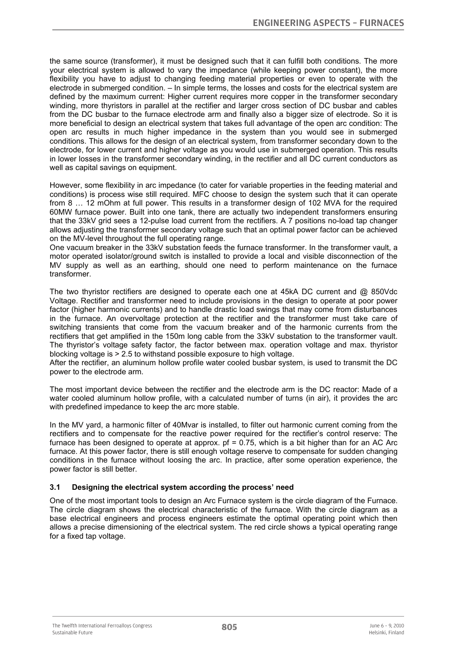the same source (transformer), it must be designed such that it can fulfill both conditions. The more your electrical system is allowed to vary the impedance (while keeping power constant), the more flexibility you have to adjust to changing feeding material properties or even to operate with the electrode in submerged condition. – In simple terms, the losses and costs for the electrical system are defined by the maximum current: Higher current requires more copper in the transformer secondary winding, more thyristors in parallel at the rectifier and larger cross section of DC busbar and cables from the DC busbar to the furnace electrode arm and finally also a bigger size of electrode. So it is more beneficial to design an electrical system that takes full advantage of the open arc condition: The open arc results in much higher impedance in the system than you would see in submerged conditions. This allows for the design of an electrical system, from transformer secondary down to the electrode, for lower current and higher voltage as you would use in submerged operation. This results in lower losses in the transformer secondary winding, in the rectifier and all DC current conductors as well as capital savings on equipment.

However, some flexibility in arc impedance (to cater for variable properties in the feeding material and conditions) is process wise still required. MFC choose to design the system such that it can operate from 8 … 12 mOhm at full power. This results in a transformer design of 102 MVA for the required 60MW furnace power. Built into one tank, there are actually two independent transformers ensuring that the 33kV grid sees a 12-pulse load current from the rectifiers. A 7 positions no-load tap changer allows adjusting the transformer secondary voltage such that an optimal power factor can be achieved on the MV-level throughout the full operating range.

One vacuum breaker in the 33kV substation feeds the furnace transformer. In the transformer vault, a motor operated isolator/ground switch is installed to provide a local and visible disconnection of the MV supply as well as an earthing, should one need to perform maintenance on the furnace transformer.

The two thyristor rectifiers are designed to operate each one at 45kA DC current and @ 850Vdc Voltage. Rectifier and transformer need to include provisions in the design to operate at poor power factor (higher harmonic currents) and to handle drastic load swings that may come from disturbances in the furnace. An overvoltage protection at the rectifier and the transformer must take care of switching transients that come from the vacuum breaker and of the harmonic currents from the rectifiers that get amplified in the 150m long cable from the 33kV substation to the transformer vault. The thyristor's voltage safety factor, the factor between max. operation voltage and max. thyristor blocking voltage is > 2.5 to withstand possible exposure to high voltage.

After the rectifier, an aluminum hollow profile water cooled busbar system, is used to transmit the DC power to the electrode arm.

The most important device between the rectifier and the electrode arm is the DC reactor: Made of a water cooled aluminum hollow profile, with a calculated number of turns (in air), it provides the arc with predefined impedance to keep the arc more stable.

In the MV yard, a harmonic filter of 40Mvar is installed, to filter out harmonic current coming from the rectifiers and to compensate for the reactive power required for the rectifier's control reserve: The furnace has been designed to operate at approx.  $pf = 0.75$ , which is a bit higher than for an AC Arc furnace. At this power factor, there is still enough voltage reserve to compensate for sudden changing conditions in the furnace without loosing the arc. In practice, after some operation experience, the power factor is still better.

#### **3.1 Designing the electrical system according the process' need**

One of the most important tools to design an Arc Furnace system is the circle diagram of the Furnace. The circle diagram shows the electrical characteristic of the furnace. With the circle diagram as a base electrical engineers and process engineers estimate the optimal operating point which then allows a precise dimensioning of the electrical system. The red circle shows a typical operating range for a fixed tap voltage.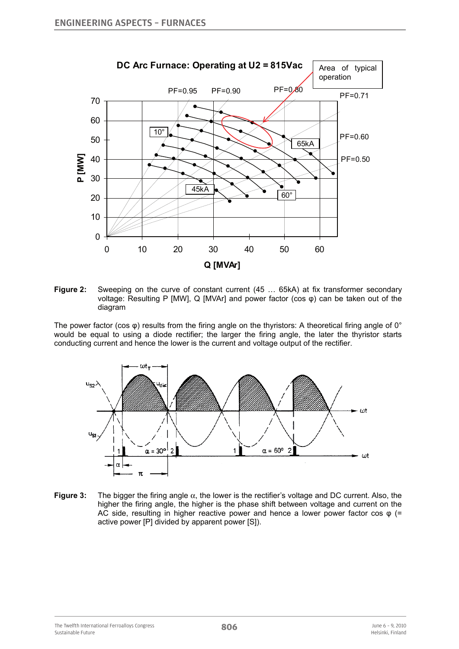

Figure 2: Sweeping on the curve of constant current (45 ... 65kA) at fix transformer secondary voltage: Resulting P [MW], Q [MVAr] and power factor (cos φ) can be taken out of the diagram

The power factor (cos  $\varphi$ ) results from the firing angle on the thyristors: A theoretical firing angle of 0° would be equal to using a diode rectifier; the larger the firing angle, the later the thyristor starts conducting current and hence the lower is the current and voltage output of the rectifier.



**Figure 3:** The bigger the firing angle α, the lower is the rectifier's voltage and DC current. Also, the higher the firing angle, the higher is the phase shift between voltage and current on the AC side, resulting in higher reactive power and hence a lower power factor cos  $\varphi$  (= active power [P] divided by apparent power [S]).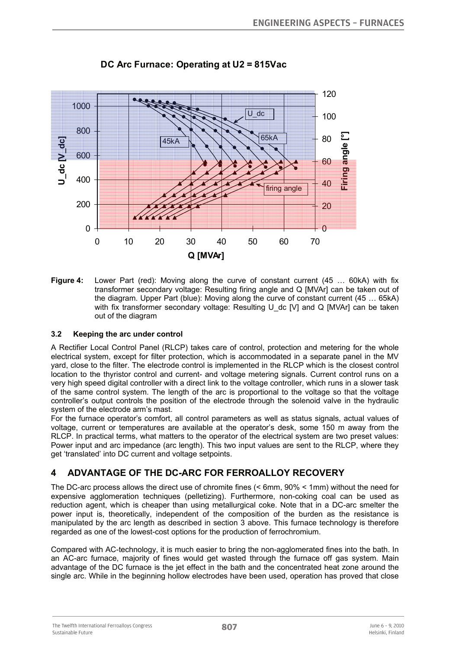

**DC Arc Furnace: Operating at U2 = 815Vac**

**Figure 4:** Lower Part (red): Moving along the curve of constant current (45 … 60kA) with fix transformer secondary voltage: Resulting firing angle and Q [MVAr] can be taken out of the diagram. Upper Part (blue): Moving along the curve of constant current (45 … 65kA) with fix transformer secondary voltage: Resulting U dc  $[V]$  and Q  $[MVar]$  can be taken out of the diagram

### **3.2 Keeping the arc under control**

A Rectifier Local Control Panel (RLCP) takes care of control, protection and metering for the whole electrical system, except for filter protection, which is accommodated in a separate panel in the MV yard, close to the filter. The electrode control is implemented in the RLCP which is the closest control location to the thyristor control and current- and voltage metering signals. Current control runs on a very high speed digital controller with a direct link to the voltage controller, which runs in a slower task of the same control system. The length of the arc is proportional to the voltage so that the voltage controller's output controls the position of the electrode through the solenoid valve in the hydraulic system of the electrode arm's mast.

For the furnace operator's comfort, all control parameters as well as status signals, actual values of voltage, current or temperatures are available at the operator's desk, some 150 m away from the RLCP. In practical terms, what matters to the operator of the electrical system are two preset values: Power input and arc impedance (arc length). This two input values are sent to the RLCP, where they get 'translated' into DC current and voltage setpoints.

## **4 ADVANTAGE OF THE DC-ARC FOR FERROALLOY RECOVERY**

The DC-arc process allows the direct use of chromite fines (< 6mm, 90% < 1mm) without the need for expensive agglomeration techniques (pelletizing). Furthermore, non-coking coal can be used as reduction agent, which is cheaper than using metallurgical coke. Note that in a DC-arc smelter the power input is, theoretically, independent of the composition of the burden as the resistance is manipulated by the arc length as described in section 3 above. This furnace technology is therefore regarded as one of the lowest-cost options for the production of ferrochromium.

Compared with AC-technology, it is much easier to bring the non-agglomerated fines into the bath. In an AC-arc furnace, majority of fines would get wasted through the furnace off gas system. Main advantage of the DC furnace is the jet effect in the bath and the concentrated heat zone around the single arc. While in the beginning hollow electrodes have been used, operation has proved that close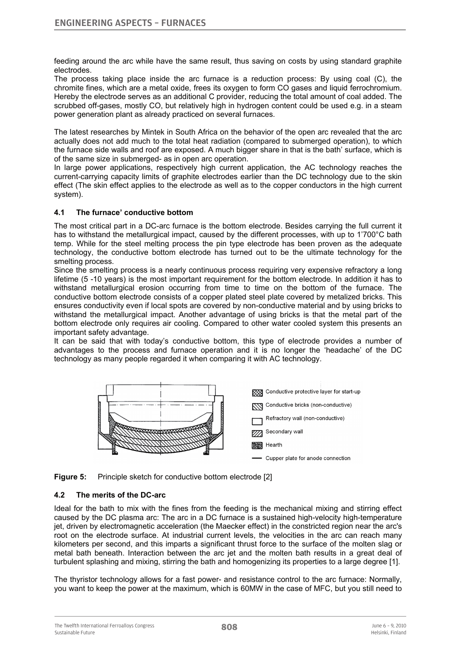feeding around the arc while have the same result, thus saving on costs by using standard graphite electrodes.

The process taking place inside the arc furnace is a reduction process: By using coal (C), the chromite fines, which are a metal oxide, frees its oxygen to form CO gases and liquid ferrochromium. Hereby the electrode serves as an additional C provider, reducing the total amount of coal added. The scrubbed off-gases, mostly CO, but relatively high in hydrogen content could be used e.g. in a steam power generation plant as already practiced on several furnaces.

The latest researches by Mintek in South Africa on the behavior of the open arc revealed that the arc actually does not add much to the total heat radiation (compared to submerged operation), to which the furnace side walls and roof are exposed. A much bigger share in that is the bath' surface, which is of the same size in submerged- as in open arc operation.

In large power applications, respectively high current application, the AC technology reaches the current-carrying capacity limits of graphite electrodes earlier than the DC technology due to the skin effect (The skin effect applies to the electrode as well as to the copper conductors in the high current system).

### **4.1 The furnace' conductive bottom**

The most critical part in a DC-arc furnace is the bottom electrode. Besides carrying the full current it has to withstand the metallurgical impact, caused by the different processes, with up to 1'700°C bath temp. While for the steel melting process the pin type electrode has been proven as the adequate technology, the conductive bottom electrode has turned out to be the ultimate technology for the smelting process.

Since the smelting process is a nearly continuous process requiring very expensive refractory a long lifetime (5 -10 years) is the most important requirement for the bottom electrode. In addition it has to withstand metallurgical erosion occurring from time to time on the bottom of the furnace. The conductive bottom electrode consists of a copper plated steel plate covered by metalized bricks. This ensures conductivity even if local spots are covered by non-conductive material and by using bricks to withstand the metallurgical impact. Another advantage of using bricks is that the metal part of the bottom electrode only requires air cooling. Compared to other water cooled system this presents an important safety advantage.

It can be said that with today's conductive bottom, this type of electrode provides a number of advantages to the process and furnace operation and it is no longer the 'headache' of the DC technology as many people regarded it when comparing it with AC technology.



**Figure 5:** Principle sketch for conductive bottom electrode [2]

#### **4.2 The merits of the DC-arc**

Ideal for the bath to mix with the fines from the feeding is the mechanical mixing and stirring effect caused by the DC plasma arc: The arc in a DC furnace is a sustained high-velocity high-temperature jet, driven by electromagnetic acceleration (the Maecker effect) in the constricted region near the arc's root on the electrode surface. At industrial current levels, the velocities in the arc can reach many kilometers per second, and this imparts a significant thrust force to the surface of the molten slag or metal bath beneath. Interaction between the arc jet and the molten bath results in a great deal of turbulent splashing and mixing, stirring the bath and homogenizing its properties to a large degree [1].

The thyristor technology allows for a fast power- and resistance control to the arc furnace: Normally, you want to keep the power at the maximum, which is 60MW in the case of MFC, but you still need to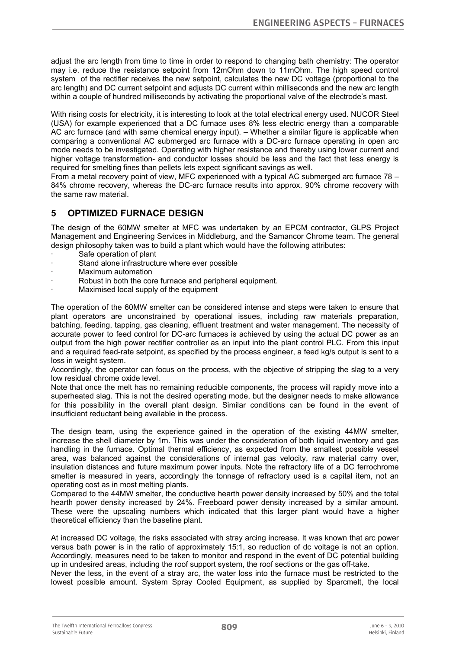adjust the arc length from time to time in order to respond to changing bath chemistry: The operator may i.e. reduce the resistance setpoint from 12mOhm down to 11mOhm. The high speed control system of the rectifier receives the new setpoint, calculates the new DC voltage (proportional to the arc length) and DC current setpoint and adjusts DC current within milliseconds and the new arc length within a couple of hundred milliseconds by activating the proportional valve of the electrode's mast.

With rising costs for electricity, it is interesting to look at the total electrical energy used. NUCOR Steel (USA) for example experienced that a DC furnace uses 8% less electric energy than a comparable AC arc furnace (and with same chemical energy input). – Whether a similar figure is applicable when comparing a conventional AC submerged arc furnace with a DC-arc furnace operating in open arc mode needs to be investigated. Operating with higher resistance and thereby using lower current and higher voltage transformation- and conductor losses should be less and the fact that less energy is required for smelting fines than pellets lets expect significant savings as well.

From a metal recovery point of view, MFC experienced with a typical AC submerged arc furnace 78 – 84% chrome recovery, whereas the DC-arc furnace results into approx. 90% chrome recovery with the same raw material.

## **5 OPTIMIZED FURNACE DESIGN**

The design of the 60MW smelter at MFC was undertaken by an EPCM contractor, GLPS Project Management and Engineering Services in Middleburg, and the Samancor Chrome team. The general design philosophy taken was to build a plant which would have the following attributes:

- Safe operation of plant
- Stand alone infrastructure where ever possible
- · Maximum automation
- Robust in both the core furnace and peripheral equipment.
- Maximised local supply of the equipment

The operation of the 60MW smelter can be considered intense and steps were taken to ensure that plant operators are unconstrained by operational issues, including raw materials preparation, batching, feeding, tapping, gas cleaning, effluent treatment and water management. The necessity of accurate power to feed control for DC-arc furnaces is achieved by using the actual DC power as an output from the high power rectifier controller as an input into the plant control PLC. From this input and a required feed-rate setpoint, as specified by the process engineer, a feed kg/s output is sent to a loss in weight system.

Accordingly, the operator can focus on the process, with the objective of stripping the slag to a very low residual chrome oxide level.

Note that once the melt has no remaining reducible components, the process will rapidly move into a superheated slag. This is not the desired operating mode, but the designer needs to make allowance for this possibility in the overall plant design. Similar conditions can be found in the event of insufficient reductant being available in the process.

The design team, using the experience gained in the operation of the existing 44MW smelter, increase the shell diameter by 1m. This was under the consideration of both liquid inventory and gas handling in the furnace. Optimal thermal efficiency, as expected from the smallest possible vessel area, was balanced against the considerations of internal gas velocity, raw material carry over, insulation distances and future maximum power inputs. Note the refractory life of a DC ferrochrome smelter is measured in years, accordingly the tonnage of refractory used is a capital item, not an operating cost as in most melting plants.

Compared to the 44MW smelter, the conductive hearth power density increased by 50% and the total hearth power density increased by 24%. Freeboard power density increased by a similar amount. These were the upscaling numbers which indicated that this larger plant would have a higher theoretical efficiency than the baseline plant.

At increased DC voltage, the risks associated with stray arcing increase. It was known that arc power versus bath power is in the ratio of approximately 15:1, so reduction of dc voltage is not an option. Accordingly, measures need to be taken to monitor and respond in the event of DC potential building up in undesired areas, including the roof support system, the roof sections or the gas off-take.

Never the less, in the event of a stray arc, the water loss into the furnace must be restricted to the lowest possible amount. System Spray Cooled Equipment, as supplied by Sparcmelt, the local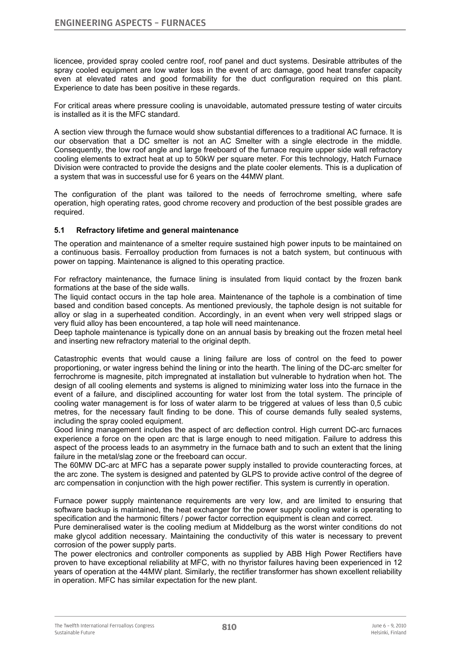licencee, provided spray cooled centre roof, roof panel and duct systems. Desirable attributes of the spray cooled equipment are low water loss in the event of arc damage, good heat transfer capacity even at elevated rates and good formability for the duct configuration required on this plant. Experience to date has been positive in these regards.

For critical areas where pressure cooling is unavoidable, automated pressure testing of water circuits is installed as it is the MFC standard.

A section view through the furnace would show substantial differences to a traditional AC furnace. It is our observation that a DC smelter is not an AC Smelter with a single electrode in the middle. Consequently, the low roof angle and large freeboard of the furnace require upper side wall refractory cooling elements to extract heat at up to 50kW per square meter. For this technology, Hatch Furnace Division were contracted to provide the designs and the plate cooler elements. This is a duplication of a system that was in successful use for 6 years on the 44MW plant.

The configuration of the plant was tailored to the needs of ferrochrome smelting, where safe operation, high operating rates, good chrome recovery and production of the best possible grades are required.

#### **5.1 Refractory lifetime and general maintenance**

The operation and maintenance of a smelter require sustained high power inputs to be maintained on a continuous basis. Ferroalloy production from furnaces is not a batch system, but continuous with power on tapping. Maintenance is aligned to this operating practice.

For refractory maintenance, the furnace lining is insulated from liquid contact by the frozen bank formations at the base of the side walls.

The liquid contact occurs in the tap hole area. Maintenance of the taphole is a combination of time based and condition based concepts. As mentioned previously, the taphole design is not suitable for alloy or slag in a superheated condition. Accordingly, in an event when very well stripped slags or very fluid alloy has been encountered, a tap hole will need maintenance.

Deep taphole maintenance is typically done on an annual basis by breaking out the frozen metal heel and inserting new refractory material to the original depth.

Catastrophic events that would cause a lining failure are loss of control on the feed to power proportioning, or water ingress behind the lining or into the hearth. The lining of the DC-arc smelter for ferrochrome is magnesite, pitch impregnated at installation but vulnerable to hydration when hot. The design of all cooling elements and systems is aligned to minimizing water loss into the furnace in the event of a failure, and disciplined accounting for water lost from the total system. The principle of cooling water management is for loss of water alarm to be triggered at values of less than 0,5 cubic metres, for the necessary fault finding to be done. This of course demands fully sealed systems, including the spray cooled equipment.

Good lining management includes the aspect of arc deflection control. High current DC-arc furnaces experience a force on the open arc that is large enough to need mitigation. Failure to address this aspect of the process leads to an asymmetry in the furnace bath and to such an extent that the lining failure in the metal/slag zone or the freeboard can occur.

The 60MW DC-arc at MFC has a separate power supply installed to provide counteracting forces, at the arc zone. The system is designed and patented by GLPS to provide active control of the degree of arc compensation in conjunction with the high power rectifier. This system is currently in operation.

Furnace power supply maintenance requirements are very low, and are limited to ensuring that software backup is maintained, the heat exchanger for the power supply cooling water is operating to specification and the harmonic filters / power factor correction equipment is clean and correct.

Pure demineralised water is the cooling medium at Middelburg as the worst winter conditions do not make glycol addition necessary. Maintaining the conductivity of this water is necessary to prevent corrosion of the power supply parts.

The power electronics and controller components as supplied by ABB High Power Rectifiers have proven to have exceptional reliability at MFC, with no thyristor failures having been experienced in 12 years of operation at the 44MW plant. Similarly, the rectifier transformer has shown excellent reliability in operation. MFC has similar expectation for the new plant.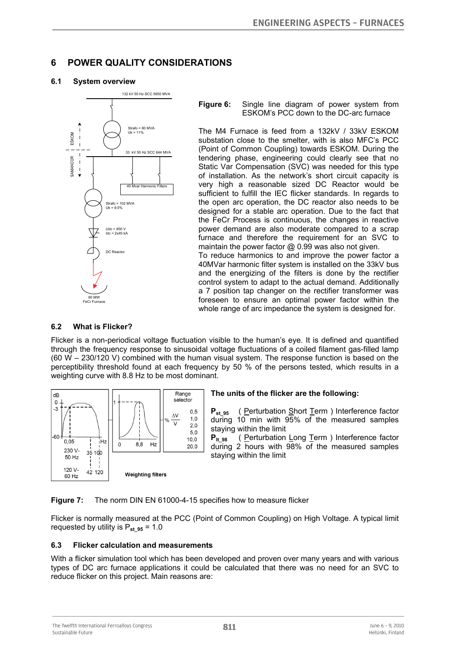## **6 POWER QUALITY CONSIDERATIONS**

## **6.1 System overview**



#### **Figure 6:** Single line diagram of power system from ESKOM's PCC down to the DC-arc furnace

The M4 Furnace is feed from a 132kV / 33kV ESKOM substation close to the smelter, with is also MFC's PCC (Point of Common Coupling) towards ESKOM. During the tendering phase, engineering could clearly see that no Static Var Compensation (SVC) was needed for this type of installation. As the network's short circuit capacity is very high a reasonable sized DC Reactor would be sufficient to fulfill the IEC flicker standards. In regards to the open arc operation, the DC reactor also needs to be designed for a stable arc operation. Due to the fact that the FeCr Process is continuous, the changes in reactive power demand are also moderate compared to a scrap furnace and therefore the requirement for an SVC to maintain the power factor @ 0.99 was also not given.

To reduce harmonics to and improve the power factor a 40MVar harmonic filter system is installed on the 33kV bus and the energizing of the filters is done by the rectifier control system to adapt to the actual demand. Additionally a 7 position tap changer on the rectifier transformer was foreseen to ensure an optimal power factor within the whole range of arc impedance the system is designed for.

### **6.2 What is Flicker?**

Flicker is a non-periodical voltage fluctuation visible to the human's eye. It is defined and quantified through the frequency response to sinusoidal voltage fluctuations of a coiled filament gas-filled lamp (60 W – 230/120 V) combined with the human visual system. The response function is based on the perceptibility threshold found at each frequency by 50 % of the persons tested, which results in a weighting curve with 8.8 Hz to be most dominant.



### **The units of the flicker are the following:**

P<sub>st 95</sub> ( <u>P</u>erturbation Short Term ) Interference factor during 10 min with 95% of the measured samples staying within the limit

P<sub>It 98</sub> ( Perturbation Long Term ) Interference factor during 2 hours with 98% of the measured samples staying within the limit

#### **Figure 7:** The norm DIN EN 61000-4-15 specifies how to measure flicker

Flicker is normally measured at the PCC (Point of Common Coupling) on High Voltage. A typical limit requested by utility is  $P_{st,95} = 1.0$ 

### **6.3 Flicker calculation and measurements**

With a flicker simulation tool which has been developed and proven over many years and with various types of DC arc furnace applications it could be calculated that there was no need for an SVC to reduce flicker on this project. Main reasons are: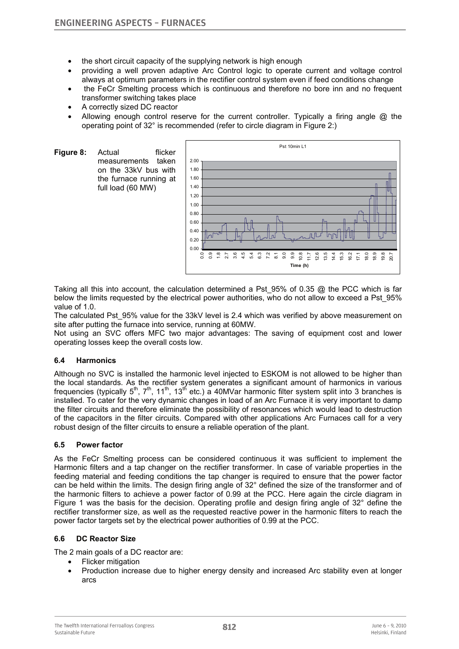- the short circuit capacity of the supplying network is high enough
- providing a well proven adaptive Arc Control logic to operate current and voltage control always at optimum parameters in the rectifier control system even if feed conditions change
- the FeCr Smelting process which is continuous and therefore no bore inn and no frequent transformer switching takes place
- A correctly sized DC reactor
- Allowing enough control reserve for the current controller. Typically a firing angle  $\oslash$  the operating point of 32° is recommended (refer to circle diagram in Figure 2:)



Taking all this into account, the calculation determined a Pst\_95% of 0.35 @ the PCC which is far below the limits requested by the electrical power authorities, who do not allow to exceed a Pst\_95% value of 1.0.

The calculated Pst 95% value for the 33kV level is 2.4 which was verified by above measurement on site after putting the furnace into service, running at 60MW.

Not using an SVC offers MFC two major advantages: The saving of equipment cost and lower operating losses keep the overall costs low.

### **6.4 Harmonics**

Although no SVC is installed the harmonic level injected to ESKOM is not allowed to be higher than the local standards. As the rectifier system generates a significant amount of harmonics in various frequencies (typically  $5<sup>th</sup>$ ,  $7<sup>th</sup>$ , 11<sup>th</sup>, 13<sup>th</sup> etc.) a 40MVar harmonic filter system split into 3 branches is installed. To cater for the very dynamic changes in load of an Arc Furnace it is very important to damp the filter circuits and therefore eliminate the possibility of resonances which would lead to destruction of the capacitors in the filter circuits. Compared with other applications Arc Furnaces call for a very robust design of the filter circuits to ensure a reliable operation of the plant.

### **6.5 Power factor**

As the FeCr Smelting process can be considered continuous it was sufficient to implement the Harmonic filters and a tap changer on the rectifier transformer. In case of variable properties in the feeding material and feeding conditions the tap changer is required to ensure that the power factor can be held within the limits. The design firing angle of 32° defined the size of the transformer and of the harmonic filters to achieve a power factor of 0.99 at the PCC. Here again the circle diagram in Figure 1 was the basis for the decision. Operating profile and design firing angle of 32° define the rectifier transformer size, as well as the requested reactive power in the harmonic filters to reach the power factor targets set by the electrical power authorities of 0.99 at the PCC.

### **6.6 DC Reactor Size**

The 2 main goals of a DC reactor are:

- Flicker mitigation
- Production increase due to higher energy density and increased Arc stability even at longer arcs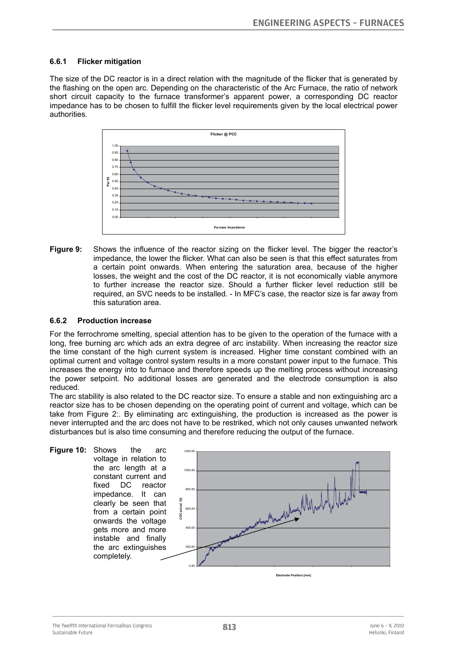### **6.6.1 Flicker mitigation**

The size of the DC reactor is in a direct relation with the magnitude of the flicker that is generated by the flashing on the open arc. Depending on the characteristic of the Arc Furnace, the ratio of network short circuit capacity to the furnace transformer's apparent power, a corresponding DC reactor impedance has to be chosen to fulfill the flicker level requirements given by the local electrical power authorities.



**Figure 9:** Shows the influence of the reactor sizing on the flicker level. The bigger the reactor's impedance, the lower the flicker. What can also be seen is that this effect saturates from a certain point onwards. When entering the saturation area, because of the higher losses, the weight and the cost of the DC reactor, it is not economically viable anymore to further increase the reactor size. Should a further flicker level reduction still be required, an SVC needs to be installed. - In MFC's case, the reactor size is far away from this saturation area.

#### **6.6.2 Production increase**

For the ferrochrome smelting, special attention has to be given to the operation of the furnace with a long, free burning arc which ads an extra degree of arc instability. When increasing the reactor size the time constant of the high current system is increased. Higher time constant combined with an optimal current and voltage control system results in a more constant power input to the furnace. This increases the energy into to furnace and therefore speeds up the melting process without increasing the power setpoint. No additional losses are generated and the electrode consumption is also reduced.

The arc stability is also related to the DC reactor size. To ensure a stable and non extinguishing arc a reactor size has to be chosen depending on the operating point of current and voltage, which can be take from Figure 2:. By eliminating arc extinguishing, the production is increased as the power is never interrupted and the arc does not have to be restriked, which not only causes unwanted network disturbances but is also time consuming and therefore reducing the output of the furnace.